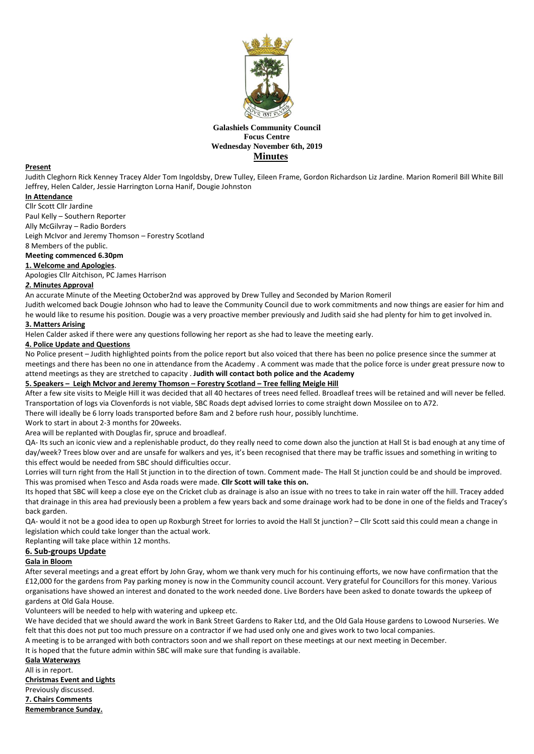

# **Galashiels Community Council Focus Centre Wednesday November 6th, 2019 Minutes**

#### **Present**

Judith Cleghorn Rick Kenney Tracey Alder Tom Ingoldsby, Drew Tulley, Eileen Frame, Gordon Richardson Liz Jardine. Marion Romeril Bill White Bill Jeffrey, Helen Calder, Jessie Harrington Lorna Hanif, Dougie Johnston

# **In Attendance**

Cllr Scott Cllr Jardine

Paul Kelly – Southern Reporter

Ally McGilvray – Radio Borders

Leigh McIvor and Jeremy Thomson – Forestry Scotland

8 Members of the public.

# **Meeting commenced 6.30pm**

**1. Welcome and Apologies**.

Apologies Cllr Aitchison, PC James Harrison

### *2.* **Minutes Approval**

An accurate Minute of the Meeting October2nd was approved by Drew Tulley and Seconded by Marion Romeril

Judith welcomed back Dougie Johnson who had to leave the Community Council due to work commitments and now things are easier for him and he would like to resume his position. Dougie was a very proactive member previously and Judith said she had plenty for him to get involved in.

# **3. Matters Arising**

Helen Calder asked if there were any questions following her report as she had to leave the meeting early.

### **4. Police Update and Questions**

No Police present – Judith highlighted points from the police report but also voiced that there has been no police presence since the summer at meetings and there has been no one in attendance from the Academy . A comment was made that the police force is under great pressure now to attend meetings as they are stretched to capacity . **Judith will contact both police and the Academy**

### **5. Speakers – Leigh McIvor and Jeremy Thomson – Forestry Scotland – Tree felling Meigle Hill**

After a few site visits to Meigle Hill it was decided that all 40 hectares of trees need felled. Broadleaf trees will be retained and will never be felled. Transportation of logs via Clovenfords is not viable, SBC Roads dept advised lorries to come straight down Mossilee on to A72.

There will ideally be 6 lorry loads transported before 8am and 2 before rush hour, possibly lunchtime.

Work to start in about 2-3 months for 20weeks.

Area will be replanted with Douglas fir, spruce and broadleaf.

QA- Its such an iconic view and a replenishable product, do they really need to come down also the junction at Hall St is bad enough at any time of day/week? Trees blow over and are unsafe for walkers and yes, it's been recognised that there may be traffic issues and something in writing to this effect would be needed from SBC should difficulties occur.

Lorries will turn right from the Hall St junction in to the direction of town. Comment made- The Hall St junction could be and should be improved. This was promised when Tesco and Asda roads were made. **Cllr Scott will take this on.**

Its hoped that SBC will keep a close eye on the Cricket club as drainage is also an issue with no trees to take in rain water off the hill. Tracey added that drainage in this area had previously been a problem a few years back and some drainage work had to be done in one of the fields and Tracey's back garden.

QA- would it not be a good idea to open up Roxburgh Street for lorries to avoid the Hall St junction? – Cllr Scott said this could mean a change in legislation which could take longer than the actual work.

Replanting will take place within 12 months.

### **6. Sub-groups Update**

### **Gala in Bloom**

After several meetings and a great effort by John Gray, whom we thank very much for his continuing efforts, we now have confirmation that the £12,000 for the gardens from Pay parking money is now in the Community council account. Very grateful for Councillors for this money. Various organisations have showed an interest and donated to the work needed done. Live Borders have been asked to donate towards the upkeep of gardens at Old Gala House.

Volunteers will be needed to help with watering and upkeep etc.

We have decided that we should award the work in Bank Street Gardens to Raker Ltd, and the Old Gala House gardens to Lowood Nurseries. We felt that this does not put too much pressure on a contractor if we had used only one and gives work to two local companies.

A meeting is to be arranged with both contractors soon and we shall report on these meetings at our next meeting in December.

It is hoped that the future admin within SBC will make sure that funding is available.

**Gala Waterways** All is in report. **Christmas Event and Lights** Previously discussed. **7. Chairs Comments Remembrance Sunday.**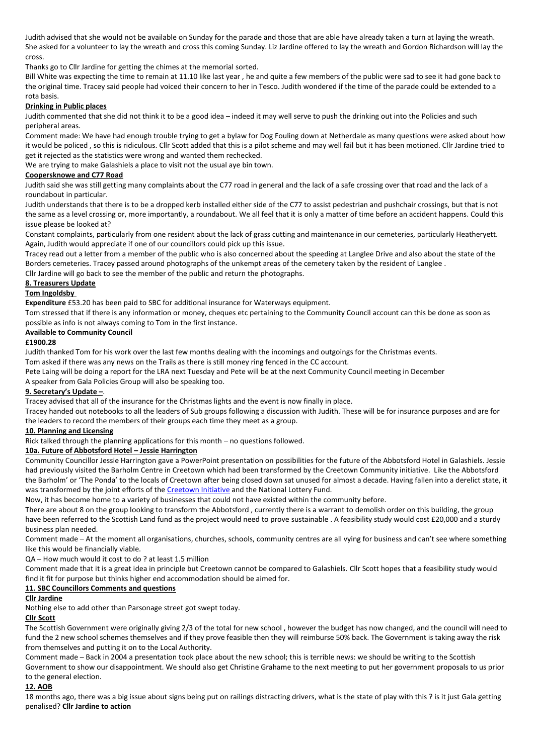Judith advised that she would not be available on Sunday for the parade and those that are able have already taken a turn at laying the wreath. She asked for a volunteer to lay the wreath and cross this coming Sunday. Liz Jardine offered to lay the wreath and Gordon Richardson will lay the cross.

Thanks go to Cllr Jardine for getting the chimes at the memorial sorted.

Bill White was expecting the time to remain at 11.10 like last year , he and quite a few members of the public were sad to see it had gone back to the original time. Tracey said people had voiced their concern to her in Tesco. Judith wondered if the time of the parade could be extended to a rota basis.

# **Drinking in Public places**

Judith commented that she did not think it to be a good idea – indeed it may well serve to push the drinking out into the Policies and such peripheral areas.

Comment made: We have had enough trouble trying to get a bylaw for Dog Fouling down at Netherdale as many questions were asked about how it would be policed , so this is ridiculous. Cllr Scott added that this is a pilot scheme and may well fail but it has been motioned. Cllr Jardine tried to get it rejected as the statistics were wrong and wanted them rechecked.

We are trying to make Galashiels a place to visit not the usual aye bin town.

### **Coopersknowe and C77 Road**

Judith said she was still getting many complaints about the C77 road in general and the lack of a safe crossing over that road and the lack of a roundabout in particular.

Judith understands that there is to be a dropped kerb installed either side of the C77 to assist pedestrian and pushchair crossings, but that is not the same as a level crossing or, more importantly, a roundabout. We all feel that it is only a matter of time before an accident happens. Could this issue please be looked at?

Constant complaints, particularly from one resident about the lack of grass cutting and maintenance in our cemeteries, particularly Heatheryett. Again, Judith would appreciate if one of our councillors could pick up this issue.

Tracey read out a letter from a member of the public who is also concerned about the speeding at Langlee Drive and also about the state of the Borders cemeteries. Tracey passed around photographs of the unkempt areas of the cemetery taken by the resident of Langlee . Cllr Jardine will go back to see the member of the public and return the photographs.

**8. Treasurers Update**

# **Tom Ingoldsby**

**Expenditure** £53.20 has been paid to SBC for additional insurance for Waterways equipment.

Tom stressed that if there is any information or money, cheques etc pertaining to the Community Council account can this be done as soon as possible as info is not always coming to Tom in the first instance.

### **Available to Community Council**

### **£1900.28**

Judith thanked Tom for his work over the last few months dealing with the incomings and outgoings for the Christmas events.

Tom asked if there was any news on the Trails as there is still money ring fenced in the CC account.

Pete Laing will be doing a report for the LRA next Tuesday and Pete will be at the next Community Council meeting in December A speaker from Gala Policies Group will also be speaking too.

# **9. Secretary's Update –**.

Tracey advised that all of the insurance for the Christmas lights and the event is now finally in place.

Tracey handed out notebooks to all the leaders of Sub groups following a discussion with Judith. These will be for insurance purposes and are for the leaders to record the members of their groups each time they meet as a group.

### **10. Planning and Licensing**

Rick talked through the planning applications for this month – no questions followed.

# **10a. Future of Abbotsford Hotel – Jessie Harrington**

Community Councillor Jessie Harrington gave a PowerPoint presentation on possibilities for the future of the Abbotsford Hotel in Galashiels. Jessie had previously visited the Barholm Centre in Creetown which had been transformed by the Creetown Community initiative. Like the Abbotsford the Barholm' or 'The Ponda' to the locals of Creetown after being closed down sat unused for almost a decade. Having fallen into a derelict state, it was transformed by the joint efforts of the [Creetown Initiative](http://creetowninitiative.co.uk/) and the National Lottery Fund.

Now, it has become home to a variety of businesses that could not have existed within the community before.

There are about 8 on the group looking to transform the Abbotsford , currently there is a warrant to demolish order on this building, the group have been referred to the Scottish Land fund as the project would need to prove sustainable . A feasibility study would cost £20,000 and a sturdy business plan needed.

Comment made – At the moment all organisations, churches, schools, community centres are all vying for business and can't see where something like this would be financially viable.

QA – How much would it cost to do ? at least 1.5 million

Comment made that it is a great idea in principle but Creetown cannot be compared to Galashiels. Cllr Scott hopes that a feasibility study would find it fit for purpose but thinks higher end accommodation should be aimed for.

# **11. SBC Councillors Comments and questions**

# **Cllr Jardine**

Nothing else to add other than Parsonage street got swept today.

### **Cllr Scott**

The Scottish Government were originally giving 2/3 of the total for new school , however the budget has now changed, and the council will need to fund the 2 new school schemes themselves and if they prove feasible then they will reimburse 50% back. The Government is taking away the risk from themselves and putting it on to the Local Authority.

Comment made – Back in 2004 a presentation took place about the new school; this is terrible news: we should be writing to the Scottish

Government to show our disappointment. We should also get Christine Grahame to the next meeting to put her government proposals to us prior to the general election.

# **12. AOB**

18 months ago, there was a big issue about signs being put on railings distracting drivers, what is the state of play with this ? is it just Gala getting penalised? **Cllr Jardine to action**